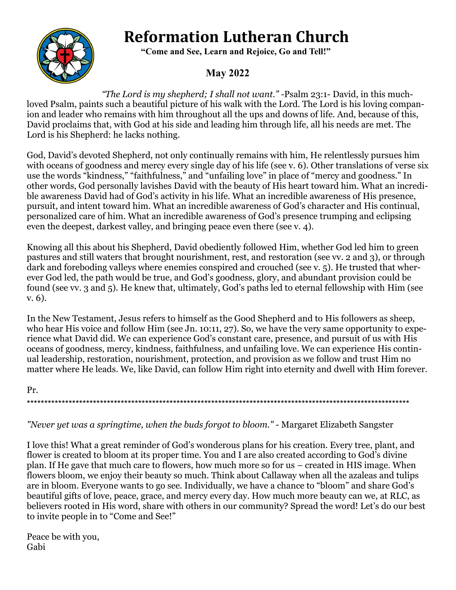# **Reformation Lutheran Church**



 **"Come and See, Learn and Rejoice, Go and Tell!"**

## **May 2022**

*"The Lord is my shepherd; I shall not want." -*Psalm 23:1- David, in this muchloved Psalm, paints such a beautiful picture of his walk with the Lord. The Lord is his loving companion and leader who remains with him throughout all the ups and downs of life. And, because of this, David proclaims that, with God at his side and leading him through life, all his needs are met. The Lord is his Shepherd: he lacks nothing.

God, David's devoted Shepherd, not only continually remains with him, He relentlessly pursues him with oceans of goodness and mercy every single day of his life (see v. 6). Other translations of verse six use the words "kindness," "faithfulness," and "unfailing love" in place of "mercy and goodness." In other words, God personally lavishes David with the beauty of His heart toward him. What an incredible awareness David had of God's activity in his life. What an incredible awareness of His presence, pursuit, and intent toward him. What an incredible awareness of God's character and His continual, personalized care of him. What an incredible awareness of God's presence trumping and eclipsing even the deepest, darkest valley, and bringing peace even there (see v. 4).

Knowing all this about his Shepherd, David obediently followed Him, whether God led him to green pastures and still waters that brought nourishment, rest, and restoration (see vv. 2 and 3), or through dark and foreboding valleys where enemies conspired and crouched (see v. 5). He trusted that wherever God led, the path would be true, and God's goodness, glory, and abundant provision could be found (see vv. 3 and 5). He knew that, ultimately, God's paths led to eternal fellowship with Him (see v. 6).

In the New Testament, Jesus refers to himself as the Good Shepherd and to His followers as sheep, who hear His voice and follow Him (see Jn. 10:11, 27). So, we have the very same opportunity to experience what David did. We can experience God's constant care, presence, and pursuit of us with His oceans of goodness, mercy, kindness, faithfulness, and unfailing love. We can experience His continual leadership, restoration, nourishment, protection, and provision as we follow and trust Him no matter where He leads. We, like David, can follow Him right into eternity and dwell with Him forever.

Pr. \*\*\*\*\*\*\*\*\*\*\*\*\*\*\*\*\*\*\*\*\*\*\*\*\*\*\*\*\*\*\*\*\*\*\*\*\*\*\*\*\*\*\*\*\*\*\*\*\*\*\*\*\*\*\*\*\*\*\*\*\*\*\*\*\*\*\*\*\*\*\*\*\*\*\*\*\*\*\*\*\*\*\*\*\*\*\*\*\*\*\*\*\*\*\*\*\*\*\*\*\*\*\*\*\*\*\*\*\*\*

#### *"Never yet was a springtime, when the buds forgot to bloom."* - Margaret Elizabeth Sangster

I love this! What a great reminder of God's wonderous plans for his creation. Every tree, plant, and flower is created to bloom at its proper time. You and I are also created according to God's divine plan. If He gave that much care to flowers, how much more so for us – created in HIS image. When flowers bloom, we enjoy their beauty so much. Think about Callaway when all the azaleas and tulips are in bloom. Everyone wants to go see. Individually, we have a chance to "bloom" and share God's beautiful gifts of love, peace, grace, and mercy every day. How much more beauty can we, at RLC, as believers rooted in His word, share with others in our community? Spread the word! Let's do our best to invite people in to "Come and See!"

Peace be with you, Gabi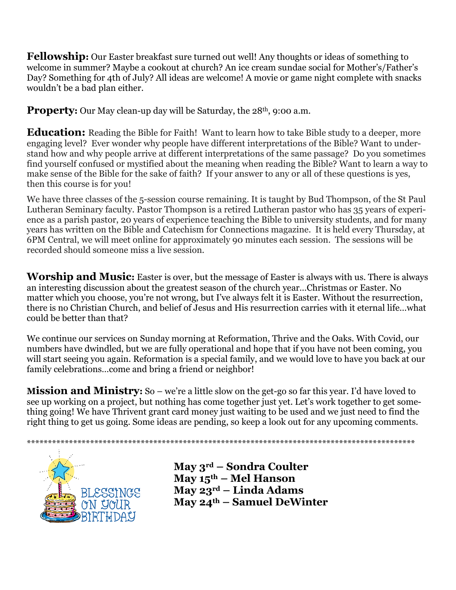**Fellowship:** Our Easter breakfast sure turned out well! Any thoughts or ideas of something to welcome in summer? Maybe a cookout at church? An ice cream sundae social for Mother's/Father's Day? Something for 4th of July? All ideas are welcome! A movie or game night complete with snacks wouldn't be a bad plan either.

**Property:** Our May clean-up day will be Saturday, the 28<sup>th</sup>, 9:00 a.m.

**Education:** Reading the Bible for Faith! Want to learn how to take Bible study to a deeper, more engaging level? Ever wonder why people have different interpretations of the Bible? Want to understand how and why people arrive at different interpretations of the same passage? Do you sometimes find yourself confused or mystified about the meaning when reading the Bible? Want to learn a way to make sense of the Bible for the sake of faith? If your answer to any or all of these questions is yes, then this course is for you!

We have three classes of the 5-session course remaining. It is taught by Bud Thompson, of the St Paul Lutheran Seminary faculty. Pastor Thompson is a retired Lutheran pastor who has 35 years of experience as a parish pastor, 20 years of experience teaching the Bible to university students, and for many years has written on the Bible and Catechism for Connections magazine. It is held every Thursday, at 6PM Central, we will meet online for approximately 90 minutes each session. The sessions will be recorded should someone miss a live session.

**Worship and Music:** Easter is over, but the message of Easter is always with us. There is always an interesting discussion about the greatest season of the church year…Christmas or Easter. No matter which you choose, you're not wrong, but I've always felt it is Easter. Without the resurrection, there is no Christian Church, and belief of Jesus and His resurrection carries with it eternal life…what could be better than that?

We continue our services on Sunday morning at Reformation, Thrive and the Oaks. With Covid, our numbers have dwindled, but we are fully operational and hope that if you have not been coming, you will start seeing you again. Reformation is a special family, and we would love to have you back at our family celebrations...come and bring a friend or neighbor!

**Mission and Ministry:** So – we're a little slow on the get-go so far this year. I'd have loved to see up working on a project, but nothing has come together just yet. Let's work together to get something going! We have Thrivent grant card money just waiting to be used and we just need to find the right thing to get us going. Some ideas are pending, so keep a look out for any upcoming comments.



**May 3rd – Sondra Coulter May 15th – Mel Hanson May 23rd – Linda Adams May 24th – Samuel DeWinter**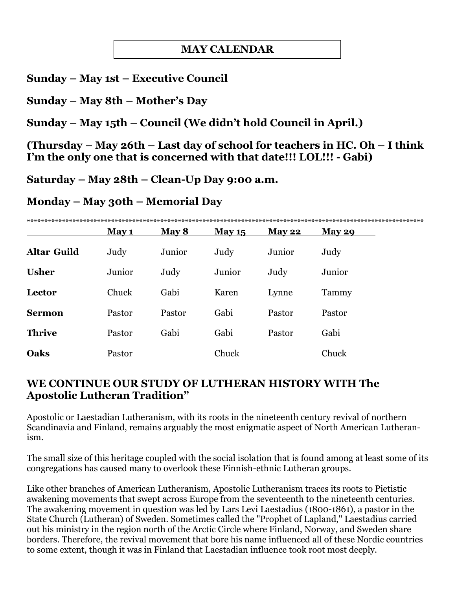## **MAY CALENDAR**

#### **Sunday – May 1st – Executive Council**

**Sunday – May 8th – Mother's Day**

**Sunday – May 15th – Council (We didn't hold Council in April.)**

**(Thursday – May 26th – Last day of school for teachers in HC. Oh – I think I'm the only one that is concerned with that date!!! LOL!!! - Gabi)**

**Saturday – May 28th – Clean-Up Day 9:00 a.m.**

**Monday – May 30th – Memorial Day**

|                    | May 1  | May 8  | <b>May 15</b> | <b>May 22</b> | May 29 |
|--------------------|--------|--------|---------------|---------------|--------|
| <b>Altar Guild</b> | Judy   | Junior | Judy          | Junior        | Judy   |
| <b>Usher</b>       | Junior | Judy   | Junior        | Judy          | Junior |
| Lector             | Chuck  | Gabi   | Karen         | Lynne         | Tammy  |
| <b>Sermon</b>      | Pastor | Pastor | Gabi          | Pastor        | Pastor |
| <b>Thrive</b>      | Pastor | Gabi   | Gabi          | Pastor        | Gabi   |
| Oaks               | Pastor |        | Chuck         |               | Chuck  |

## **WE CONTINUE OUR STUDY OF LUTHERAN HISTORY WITH The Apostolic Lutheran Tradition"**

Apostolic or Laestadian Lutheranism, with its roots in the nineteenth century revival of northern Scandinavia and Finland, remains arguably the most enigmatic aspect of North American Lutheranism.

The small size of this heritage coupled with the social isolation that is found among at least some of its congregations has caused many to overlook these Finnish-ethnic Lutheran groups.

Like other branches of American Lutheranism, Apostolic Lutheranism traces its roots to Pietistic awakening movements that swept across Europe from the seventeenth to the nineteenth centuries. The awakening movement in question was led by Lars Levi Laestadius (1800-1861), a pastor in the State Church (Lutheran) of Sweden. Sometimes called the "Prophet of Lapland," Laestadius carried out his ministry in the region north of the Arctic Circle where Finland, Norway, and Sweden share borders. Therefore, the revival movement that bore his name influenced all of these Nordic countries to some extent, though it was in Finland that Laestadian influence took root most deeply.